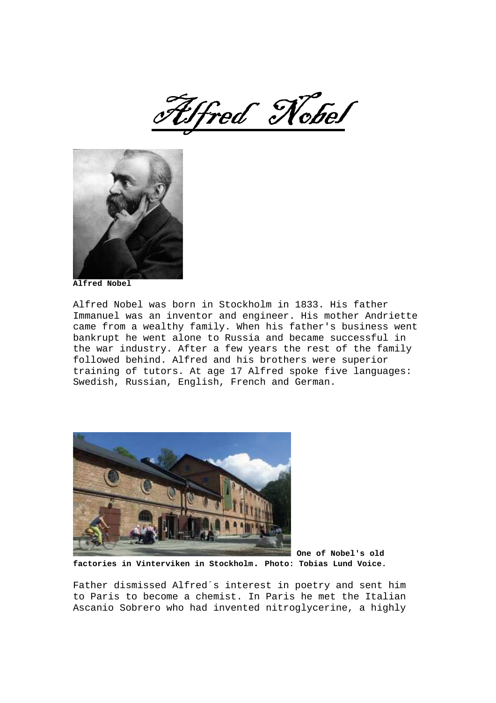Alfred Nobel



**Alfred Nobel**

Alfred Nobel was born in Stockholm in 1833. His father Immanuel was an inventor and engineer. His mother Andriette came from a wealthy family. When his father's business went bankrupt he went alone to Russia and became successful in the war industry. After a few years the rest of the family followed behind. Alfred and his brothers were superior training of tutors. At age 17 Alfred spoke five languages: Swedish, Russian, English, French and German.



**One of Nobel's old factories in Vinterviken in Stockholm. Photo: Tobias Lund Voice.**

Father dismissed Alfred´s interest in poetry and sent him to Paris to become a chemist. In Paris he met the Italian Ascanio Sobrero who had invented nitroglycerine, a highly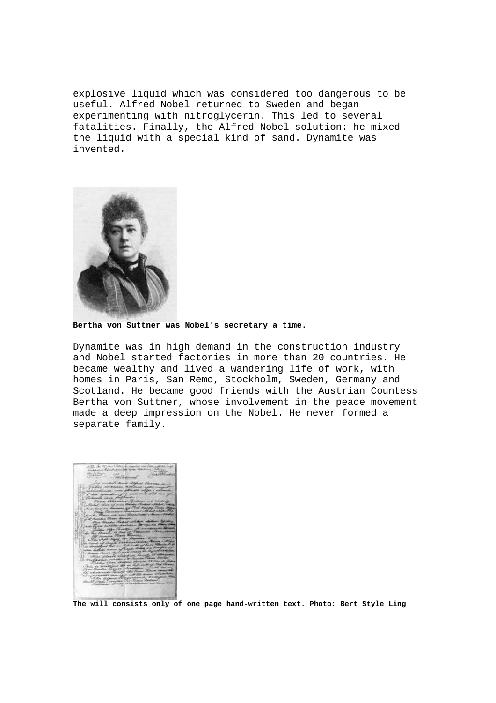explosive liquid which was considered too dangerous to be useful. Alfred Nobel returned to Sweden and began experimenting with nitroglycerin. This led to several fatalities. Finally, the Alfred Nobel solution: he mixed the liquid with a special kind of sand. Dynamite was invented.



**Bertha von Suttner was Nobel's secretary a time.** 

Dynamite was in high demand in the construction industry and Nobel started factories in more than 20 countries. He became wealthy and lived a wandering life of work, with homes in Paris, San Remo, Stockholm, Sweden, Germany and Scotland. He became good friends with the Austrian Countess Bertha von Suttner, whose involvement in the peace movement made a deep impression on the Nobel. He never formed a separate family.

**The will consists only of one page hand-written text. Photo: Bert Style Ling**